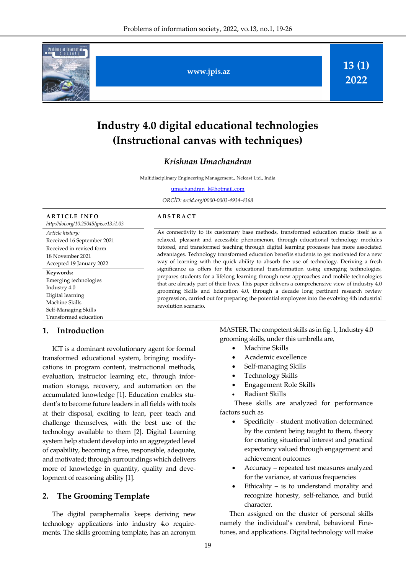

**www.jpis.az**

**13 (1) 2022**

# **Industry 4.0 digital educational technologies (Instructional canvas with techniques)**

# *Krishnan Umachandran*

Multidisciplinary Engineering Management,, Nelcast Ltd., India

[umachandran\\_k@hotmail.com](mailto:umachandran_k@hotmail.com)

*ORCİD: orcid.org/0000-0003-4934-4368*

#### **A R T I C L E I N F O**

*http://doi.org/10.25045/jpis.v13.i1.03 Article history:*  Received 16 September 2021 Received in revised form 18 November 2021 Accepted 19 January 2022 **Keywords:**  Emerging technologies Industry 4.0

Digital learning Machine Skills Self-Managing Skills Transformed education

## **1. Introduction**

ICT is a dominant revolutionary agent for formal transformed educational system, bringing modifycations in program content, instructional methods, evaluation, instructor learning etc., through information storage, recovery, and automation on the accumulated knowledge [1]. Education enables student's to become future leaders in all fields with tools at their disposal, exciting to lean, peer teach and challenge themselves, with the best use of the technology available to them [2]. Digital Learning system help student develop into an aggregated level of capability, becoming a free, responsible, adequate, and motivated; through surroundings which delivers more of knowledge in quantity, quality and development of reasoning ability [1].

# **2. The Grooming Template**

The digital paraphernalia keeps deriving new technology applications into industry 4.o requirements. The skills grooming template, has an acronym

#### **A B S T R A C T**

As connectivity to its customary base methods, transformed education marks itself as a relaxed, pleasant and accessible phenomenon, through educational technology modules tutored, and transformed teaching through digital learning processes has more associated advantages. Technology transformed education benefits students to get motivated for a new way of learning with the quick ability to absorb the use of technology. Deriving a fresh significance as offers for the educational transformation using emerging technologies, prepares students for a lifelong learning through new approaches and mobile technologies that are already part of their lives. This paper delivers a comprehensive view of industry 4.0 grooming Skills and Education 4.0, through a decade long pertinent research review progression, carried out for preparing the potential employees into the evolving 4th industrial revolution scenario.

> MASTER. The competent skills as in fig. 1, Industry 4.0 grooming skills, under this umbrella are,

- Machine Skills
- Academic excellence
- Self-managing Skills
- Technology Skills
- Engagement Role Skills
- Radiant Skills

These skills are analyzed for performance factors such as

- Specificity student motivation determined by the content being taught to them, theory for creating situational interest and practical expectancy valued through engagement and achievement outcomes
- Accuracy repeated test measures analyzed for the variance, at various frequencies
- Ethicality is to understand morality and recognize honesty, self-reliance, and build character.

Then assigned on the cluster of personal skills namely the individual's cerebral, behavioral Finetunes, and applications. Digital technology will make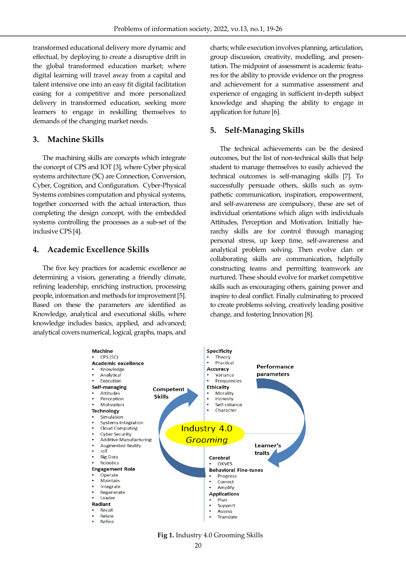transformed educational delivery more dynamic and effectual, by deploying to create a disruptive drift in the global transformed education market; where digital learning will travel away from a capital and talent intensive one into an easy fit digital facilitation easing for a competitive and more personalized delivery in transformed education, seeking more learners to engage in reskilling themselves to demands of the changing market needs.

# **3. Machine Skills**

The machining skills are concepts which integrate the concept of CPS and IOT [3], where Cyber physical systems architecture (5C) are Connection, Conversion, Cyber, Cognition, and Configuration. Cyber-Physical Systems combines computation and physical systems, together concerned with the actual interaction, thus completing the design concept, with the embedded systems controlling the processes as a sub-set of the inclusive CPS [4].

# **4. Academic Excellence Skills**

The five key practices for academic excellence ae determining a vision, generating a friendly climate, refining leadership, enriching instruction, processing people, information and methods for improvement [5]. Based on these the parameters are identified as Knowledge, analytical and executional skills, where knowledge includes basics, applied, and advanced; analytical covers numerical, logical, graphs, maps, and

charts; while execution involves planning, articulation, group discussion, creativity, modelling, and presentation. The midpoint of assessment is academic features for the ability to provide evidence on the progress and achievement for a summative assessment and experience of engaging in sufficient in-depth subject knowledge and shaping the ability to engage in application for future [6].

# **5. Self-Managing Skills**

The technical achievements can be the desired outcomes, but the list of non-technical skills that help student to manage themselves to easily achieved the technical outcomes is self-managing skills [7]. To successfully persuade others, skills such as sympathetic communication, inspiration, empowerment, and self-awareness are compulsory, these are set of individual orientations which align with individuals Attitudes, Perception and Motivation. Initially hierarchy skills are for control through managing personal stress, up keep time, self-awareness and analytical problem solving. Then evolve clan or collaborating skills are communication, helpfully constructing teams and permitting teamwork are nurtured. These should evolve for market competitive skills such as encouraging others, gaining power and inspire to deal conflict. Finally culminating to proceed to create problems solving, creatively leading positive change, and fostering Innovation [8].



20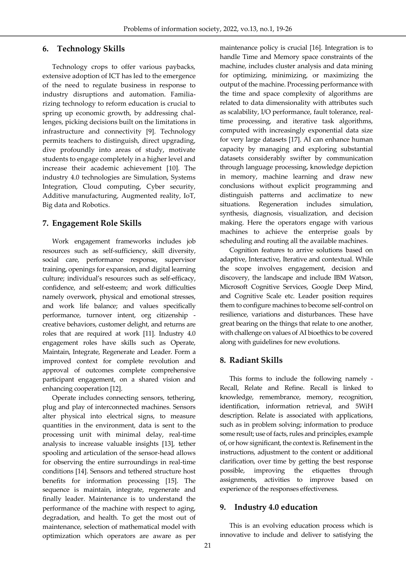# **6. Technology Skills**

Technology crops to offer various paybacks, extensive adoption of ICT has led to the emergence of the need to regulate business in response to industry disruptions and automation. Familiarizing technology to reform education is crucial to spring up economic growth, by addressing challenges, picking decisions built on the limitations in infrastructure and connectivity [9]. Technology permits teachers to distinguish, direct upgrading, dive profoundly into areas of study, motivate students to engage completely in a higher level and increase their academic achievement [10]. The industry 4.0 technologies are Simulation, Systems Integration, Cloud computing, Cyber security, Additive manufacturing, Augmented reality, IoT, Big data and Robotics.

# **7. Engagement Role Skills**

Work engagement frameworks includes job resources such as self-sufficiency, skill diversity, social care, performance response, supervisor training, openings for expansion, and digital learning culture; individual's resources such as self-efficacy, confidence, and self-esteem; and work difficulties namely overwork, physical and emotional stresses, and work life balance; and values specifically performance, turnover intent, org citizenship creative behaviors, customer delight, and returns are roles that are required at work [11]. Industry 4.0 engagement roles have skills such as Operate, Maintain, Integrate, Regenerate and Leader. Form a improved context for complete revolution and approval of outcomes complete comprehensive participant engagement, on a shared vision and enhancing cooperation [12].

Operate includes connecting sensors, tethering, plug and play of interconnected machines. Sensors alter physical into electrical signs, to measure quantities in the environment, data is sent to the processing unit with minimal delay, real-time analysis to increase valuable insights [13], tether spooling and articulation of the sensor-head allows for observing the entire surroundings in real-time conditions [14]. Sensors and tethered structure host benefits for information processing [15]. The sequence is maintain, integrate, regenerate and finally leader. Maintenance is to understand the performance of the machine with respect to aging, degradation, and health. To get the most out of maintenance, selection of mathematical model with optimization which operators are aware as per maintenance policy is crucial [16]. Integration is to handle Time and Memory space constraints of the machine, includes cluster analysis and data mining for optimizing, minimizing, or maximizing the output of the machine. Processing performance with the time and space complexity of algorithms are related to data dimensionality with attributes such as scalability, I/O performance, fault tolerance, realtime processing, and iterative task algorithms, computed with increasingly exponential data size for very large datasets [17]. AI can enhance human capacity by managing and exploring substantial datasets considerably swifter by communication through language processing, knowledge depiction in memory, machine learning and draw new conclusions without explicit programming and distinguish patterns and acclimatize to new situations. Regeneration includes simulation, synthesis, diagnosis, visualization, and decision making. Here the operators engage with various machines to achieve the enterprise goals by scheduling and routing all the available machines.

Cognition features to arrive solutions based on adaptive, Interactive, Iterative and contextual. While the scope involves engagement, decision and discovery, the landscape and include IBM Watson, Microsoft Cognitive Services, Google Deep Mind, and Cognitive Scale etc. Leader position requires them to configure machines to become self-control on resilience, variations and disturbances. These have great bearing on the things that relate to one another, with challenge on values of AI bioethics to be covered along with guidelines for new evolutions.

# **8. Radiant Skills**

This forms to include the following namely - Recall, Relate and Refine. Recall is linked to knowledge, remembrance, memory, recognition, identification, information retrieval, and 5WiH description. Relate is associated with applications, such as in problem solving; information to produce some result; use of facts, rules and principles, example of, or how significant, the context is. Refinement in the instructions, adjustment to the content or additional clarification, over time by getting the best response possible, improving the etiquettes through assignments, activities to improve based on experience of the responses effectiveness.

# **9. Industry 4.0 education**

This is an evolving education process which is innovative to include and deliver to satisfying the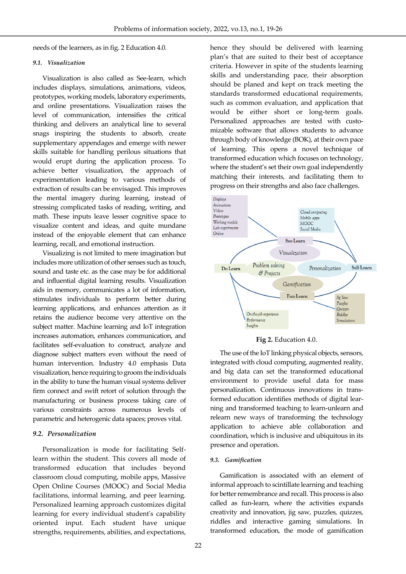needs of the learners, as in fig. 2 Education 4.0.

#### *9.1. Visualization*

Visualization is also called as See-learn, which includes displays, simulations, animations, videos, prototypes, working models, laboratory experiments, and online presentations. Visualization raises the level of communication, intensifies the critical thinking and delivers an analytical line to several snags inspiring the students to absorb, create supplementary appendages and emerge with newer skills suitable for handling perilous situations that would erupt during the application process. To achieve better visualization, the approach of experimentation leading to various methods of extraction of results can be envisaged. This improves the mental imagery during learning, instead of stressing complicated tasks of reading, writing, and math. These inputs leave lesser cognitive space to visualize content and ideas, and quite mundane instead of the enjoyable element that can enhance learning, recall, and emotional instruction.

Visualizing is not limited to mere imagination but includes more utilization of other senses such as touch, sound and taste etc. as the case may be for additional and influential digital learning results. Visualization aids in memory, communicates a lot of information, stimulates individuals to perform better during learning applications, and enhances attention as it retains the audience become very attentive on the subject matter. Machine learning and IoT integration increases automation, enhances communication, and facilitates self-evaluation to construct, analyze and diagnose subject matters even without the need of human intervention. Industry 4.0 emphasis Data visualization, hence requiring to groom the individuals in the ability to tune the human visual systems deliver firm connect and swift retort of solution through the manufacturing or business process taking care of various constraints across numerous levels of parametric and heterogenic data spaces; proves vital.

#### *9.2. Personalization*

Personalization is mode for facilitating Selflearn within the student. This covers all mode of transformed education that includes beyond classroom cloud computing, mobile apps, Massive Open Online Courses (MOOC) and Social Media facilitations, informal learning, and peer learning. Personalized learning approach customizes digital learning for every individual student's capability oriented input. Each student have unique strengths, requirements, abilities, and expectations, hence they should be delivered with learning plan's that are suited to their best of acceptance criteria. However in spite of the students learning skills and understanding pace, their absorption should be planed and kept on track meeting the standards transformed educational requirements, such as common evaluation, and application that would be either short or long-term goals. Personalized approaches are tested with customizable software that allows students to advance through body of knowledge (BOK), at their own pace of learning. This opens a novel technique of transformed education which focuses on technology, where the student's set their own goal independently matching their interests, and facilitating them to progress on their strengths and also face challenges.



#### **Fig 2.** Education 4.0.

The use of the IoT linking physical objects, sensors, integrated with cloud computing, augmented reality, and big data can set the transformed educational environment to provide useful data for mass personalization. Continuous innovations in transformed education identifies methods of digital learning and transformed teaching to learn-unlearn and relearn new ways of transforming the technology application to achieve able collaboration and coordination, which is inclusive and ubiquitous in its presence and operation.

#### *9.3. Gamification*

Gamification is associated with an element of informal approach to scintillate learning and teaching for better remembrance and recall. This process is also called as fun-learn, where the activities expands creativity and innovation, jig saw, puzzles, quizzes, riddles and interactive gaming simulations. In transformed education, the mode of gamification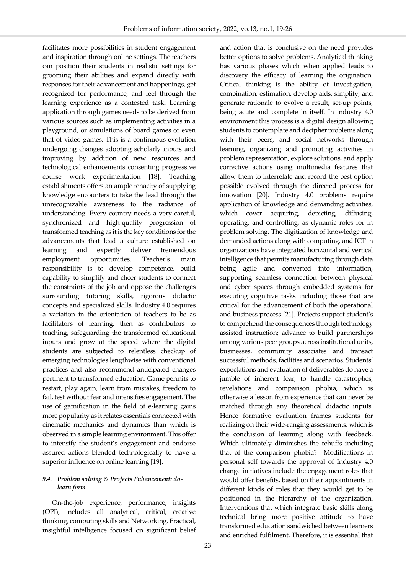facilitates more possibilities in student engagement and inspiration through online settings. The teachers can position their students in realistic settings for grooming their abilities and expand directly with responses for their advancement and happenings, get recognized for performance, and feel through the learning experience as a contested task. Learning application through games needs to be derived from various sources such as implementing activities in a playground, or simulations of board games or even that of video games. This is a continuous evolution undergoing changes adopting scholarly inputs and improving by addition of new resources and technological enhancements consenting progressive course work experimentation [18]. Teaching establishments offers an ample tenacity of supplying knowledge encounters to take the lead through the unrecognizable awareness to the radiance of understanding. Every country needs a very careful, synchronized and high-quality progression of transformed teaching as it is the key conditions for the advancements that lead a culture established on learning and expertly deliver tremendous employment opportunities. Teacher's main responsibility is to develop competence, build capability to simplify and cheer students to connect the constraints of the job and oppose the challenges surrounding tutoring skills, rigorous didactic concepts and specialized skills. Industry 4.0 requires a variation in the orientation of teachers to be as facilitators of learning, then as contributors to teaching, safeguarding the transformed educational inputs and grow at the speed where the digital students are subjected to relentless checkup of emerging technologies lengthwise with conventional practices and also recommend anticipated changes pertinent to transformed education. Game permits to restart, play again, learn from mistakes, freedom to fail, test without fear and intensifies engagement. The use of gamification in the field of e-learning gains more popularity as it relates essentials connected with cinematic mechanics and dynamics than which is observed in a simple learning environment. This offer to intensify the student's engagement and endorse assured actions blended technologically to have a superior influence on online learning [19].

# *9.4. Problem solving & Projects Enhancement: dolearn form*

On-the-job experience, performance, insights (OPI), includes all analytical, critical, creative thinking, computing skills and Networking. Practical, insightful intelligence focused on significant belief and action that is conclusive on the need provides better options to solve problems. Analytical thinking has various phases which when applied leads to discovery the efficacy of learning the origination. Critical thinking is the ability of investigation, combination, estimation, develop aids, simplify, and generate rationale to evolve a result, set-up points, being acute and complete in itself. In industry 4.0 environment this process is a digital design allowing students to contemplate and decipher problems along with their peers, and social networks through learning, organizing and promoting activities in problem representation, explore solutions, and apply corrective actions using multimedia features that allow them to interrelate and record the best option possible evolved through the directed process for innovation [20]. Industry 4.0 problems require application of knowledge and demanding activities, which cover acquiring, depicting, diffusing, operating, and controlling, as dynamic roles for in problem solving. The digitization of knowledge and demanded actions along with computing, and ICT in organizations have integrated horizontal and vertical intelligence that permits manufacturing through data being agile and converted into information, supporting seamless connection between physical and cyber spaces through embedded systems for executing cognitive tasks including those that are critical for the advancement of both the operational and business process [21]. Projects support student's to comprehend the consequences through technology assisted instruction; advance to build partnerships among various peer groups across institutional units, businesses, community associates and transact successful methods, facilities and scenarios. Students' expectations and evaluation of deliverables do have a jumble of inherent fear, to handle catastrophes, revelations and comparison phobia, which is otherwise a lesson from experience that can never be matched through any theoretical didactic inputs. Hence formative evaluation frames students for realizing on their wide-ranging assessments, which is the conclusion of learning along with feedback. Which ultimately diminishes the rebuffs including that of the comparison phobia? Modifications in personal self towards the approval of Industry 4.0 change initiatives include the engagement roles that would offer benefits, based on their appointments in different kinds of roles that they would get to be positioned in the hierarchy of the organization. Interventions that which integrate basic skills along technical bring more positive attitude to have transformed education sandwiched between learners and enriched fulfilment. Therefore, it is essential that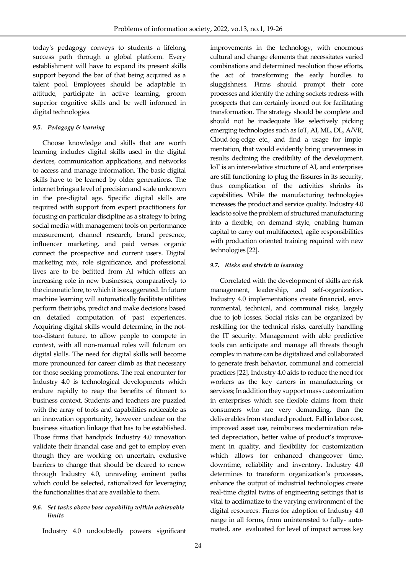today's pedagogy conveys to students a lifelong success path through a global platform. Every establishment will have to expand its present skills support beyond the bar of that being acquired as a talent pool. Employees should be adaptable in attitude, participate in active learning, groom superior cognitive skills and be well informed in digital technologies.

#### *9.5. Pedagogy & learning*

Choose knowledge and skills that are worth learning includes digital skills used in the digital devices, communication applications, and networks to access and manage information. The basic digital skills have to be learned by older generations. The internet brings a level of precision and scale unknown in the pre-digital age. Specific digital skills are required with support from expert practitioners for focusing on particular discipline as a strategy to bring social media with management tools on performance measurement, channel research, brand presence, influencer marketing, and paid verses organic connect the prospective and current users. Digital marketing mix, role significance, and professional lives are to be befitted from AI which offers an increasing role in new businesses, comparatively to the cinematic lore, to which it is exaggerated. In future machine learning will automatically facilitate utilities perform their jobs, predict and make decisions based on detailed computation of past experiences. Acquiring digital skills would determine, in the nottoo-distant future, to allow people to compete in context, with all non-manual roles will fulcrum on digital skills. The need for digital skills will become more pronounced for career climb as that necessary for those seeking promotions. The real encounter for Industry 4.0 is technological developments which endure rapidly to reap the benefits of fitment to business context. Students and teachers are puzzled with the array of tools and capabilities noticeable as an innovation opportunity, however unclear on the business situation linkage that has to be established. Those firms that handpick Industry 4.0 innovation validate their financial case and get to employ even though they are working on uncertain, exclusive barriers to change that should be cleared to renew through Industry 4.0, unraveling eminent paths which could be selected, rationalized for leveraging the functionalities that are available to them.

#### *9.6. Set tasks above base capability within achievable limits*

Industry 4.0 undoubtedly powers significant

improvements in the technology, with enormous cultural and change elements that necessitates varied combinations and determined resolution those efforts, the act of transforming the early hurdles to sluggishness. Firms should prompt their core processes and identify the aching sockets redress with prospects that can certainly ironed out for facilitating transformation. The strategy should be complete and should not be inadequate like selectively picking emerging technologies such as IoT, AI, ML, DL, A/VR, Cloud-fog-edge etc., and find a usage for implementation, that would evidently bring unevenness in results declining the credibility of the development. IoT is an inter-relative structure of AI, and enterprises are still functioning to plug the fissures in its security, thus complication of the activities shrinks its capabilities. While the manufacturing technologies increases the product and service quality. Industry 4.0 leads to solve the problem of structured manufacturing into a flexible, on demand style, enabling human capital to carry out multifaceted, agile responsibilities with production oriented training required with new technologies [22].

## *9.7. Risks and stretch in learning*

Correlated with the development of skills are risk management, leadership, and self-organization. Industry 4.0 implementations create financial, environmental, technical, and communal risks, largely due to job losses. Social risks can be organized by reskilling for the technical risks, carefully handling the IT security. Management with able predictive tools can anticipate and manage all threats though complex in nature can be digitalized and collaborated to generate fresh behavior, communal and comercial practices [22]. Industry 4.0 aids to reduce the need for workers as the key carters in manufacturing or services; In addition they support mass customization in enterprises which see flexible claims from their consumers who are very demanding, than the deliverables from standard product. Fall in labor cost, improved asset use, reimburses modernization related depreciation, better value of product's improvement in quality, and flexibility for customization which allows for enhanced changeover time, downtime, reliability and inventory. Industry 4.0 determines to transform organization's processes, enhance the output of industrial technologies create real-time digital twins of engineering settings that is vital to acclimatize to the varying environment of the digital resources. Firms for adoption of Industry 4.0 range in all forms, from uninterested to fully- automated, are evaluated for level of impact across key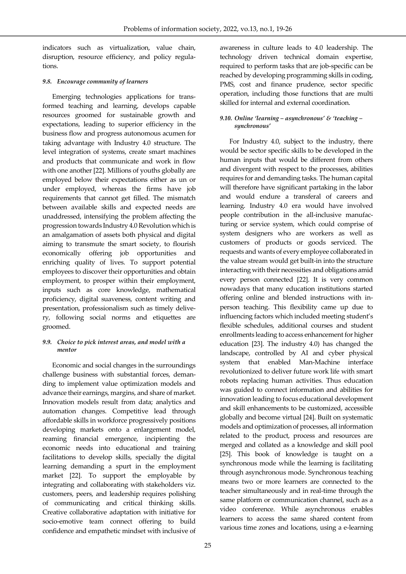indicators such as virtualization, value chain, disruption, resource efficiency, and policy regulations.

# *9.8. Encourage community of learners*

Emerging technologies applications for transformed teaching and learning, develops capable resources groomed for sustainable growth and expectations, leading to superior efficiency in the business flow and progress autonomous acumen for taking advantage with Industry 4.0 structure. The level integration of systems, create smart machines and products that communicate and work in flow with one another [22]. Millions of youths globally are employed below their expectations either as un or under employed, whereas the firms have job requirements that cannot get filled. The mismatch between available skills and expected needs are unaddressed, intensifying the problem affecting the progression towards Industry 4.0 Revolution which is an amalgamation of assets both physical and digital aiming to transmute the smart society, to flourish economically offering job opportunities and enriching quality of lives. To support potential employees to discover their opportunities and obtain employment, to prosper within their employment, inputs such as core knowledge, mathematical proficiency, digital suaveness, content writing and presentation, professionalism such as timely delivery, following social norms and etiquettes are groomed.

## *9.9. Choice to pick interest areas, and model with a mentor*

Economic and social changes in the surroundings challenge business with substantial forces, demanding to implement value optimization models and advance their earnings, margins, and share of market. Innovation models result from data; analytics and automation changes. Competitive lead through affordable skills in workforce progressively positions developing markets onto a enlargement model, reaming financial emergence, incipienting the economic needs into educational and training facilitations to develop skills, specially the digital learning demanding a spurt in the employment market [22]. To support the employable by integrating and collaborating with stakeholders viz. customers, peers, and leadership requires polishing of communicating and critical thinking skills. Creative collaborative adaptation with initiative for socio-emotive team connect offering to build confidence and empathetic mindset with inclusive of

awareness in culture leads to 4.0 leadership. The technology driven technical domain expertise, required to perform tasks that are job-specific can be reached by developing programming skills in coding, PMS, cost and finance prudence, sector specific operation, including those functions that are multi skilled for internal and external coordination.

## *9.10. Online 'learning – asynchronous' & 'teaching – synchronous'*

For Industry 4.0, subject to the industry, there would be sector specific skills to be developed in the human inputs that would be different from others and divergent with respect to the processes, abilities requires for and demanding tasks. The human capital will therefore have significant partaking in the labor and would endure a transferal of careers and learning. Industry 4.0 era would have involved people contribution in the all-inclusive manufacturing or service system, which could comprise of system designers who are workers as well as customers of products or goods serviced. The requests and wants of every employee collaborated in the value stream would get built-in into the structure interacting with their necessities and obligations amid every person connected [22]. It is very common nowadays that many education institutions started offering online and blended instructions with inperson teaching. This flexibility came up due to influencing factors which included meeting student's flexible schedules, additional courses and student enrollments leading to access enhancement for higher education [23]. The industry 4.0) has changed the landscape, controlled by AI and cyber physical system that enabled Man-Machine interface revolutionized to deliver future work life with smart robots replacing human activities. Thus education was guided to connect information and abilities for innovation leading to focus educational development and skill enhancements to be customized, accessible globally and become virtual [24]. Built on systematic models and optimization of processes, all information related to the product, process and resources are merged and collated as a knowledge and skill pool [25]. This book of knowledge is taught on a synchronous mode while the learning is facilitating through asynchronous mode. Synchronous teaching means two or more learners are connected to the teacher simultaneously and in real-time through the same platform or communication channel, such as a video conference. While asynchronous enables learners to access the same shared content from various time zones and locations, using a e-learning